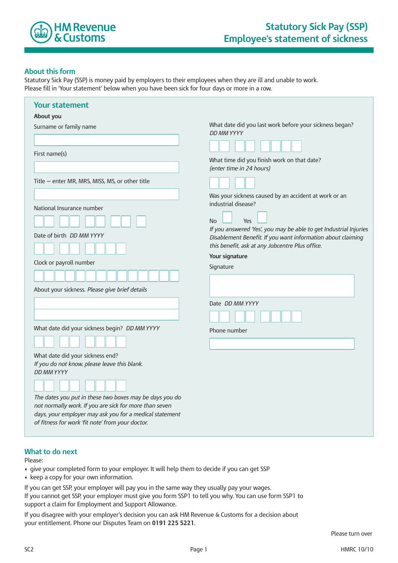

## **About this form**

Statutory Sick Pay (SSP) is money paid by employers to their employees when they are ill and unable to work. Please fill in 'Your statement' below when you have been sick for four days or more in a row.

| <b>Your statement</b>                                                                                             |                                                                                                                |
|-------------------------------------------------------------------------------------------------------------------|----------------------------------------------------------------------------------------------------------------|
| About you                                                                                                         |                                                                                                                |
| Surname or family name                                                                                            | What date did you last work before your sickness began?<br>DD MM YYYY                                          |
|                                                                                                                   |                                                                                                                |
| First name(s)                                                                                                     | What time did you finish work on that date?                                                                    |
|                                                                                                                   | (enter time in 24 hours)                                                                                       |
| Title - enter MR, MRS, MISS, MS, or other title                                                                   |                                                                                                                |
| National Insurance number                                                                                         | Was your sickness caused by an accident at work or an<br>industrial disease?                                   |
|                                                                                                                   | <b>No</b><br>Yes                                                                                               |
| Date of birth <i>DD MM YYYY</i>                                                                                   | If you answered 'Yes', you may be able to get Industrial Injuries                                              |
|                                                                                                                   | Disablement Benefit. If you want information about claiming<br>this benefit, ask at any Jobcentre Plus office. |
|                                                                                                                   | Your signature                                                                                                 |
| Clock or payroll number                                                                                           | Signature                                                                                                      |
|                                                                                                                   |                                                                                                                |
| About your sickness. Please give brief details                                                                    |                                                                                                                |
|                                                                                                                   | Date DD MM YYYY                                                                                                |
|                                                                                                                   |                                                                                                                |
| What date did your sickness begin? DD MM YYYY                                                                     | Phone number                                                                                                   |
|                                                                                                                   |                                                                                                                |
| What date did your sickness end?                                                                                  |                                                                                                                |
| If you do not know, please leave this blank.<br>DD MM YYYY                                                        |                                                                                                                |
|                                                                                                                   |                                                                                                                |
|                                                                                                                   |                                                                                                                |
| The dates you put in these two boxes may be days you do<br>not normally work. If you are sick for more than seven |                                                                                                                |
| days, your employer may ask you for a medical statement                                                           |                                                                                                                |
| of fitness for work 'fit note' from your doctor.                                                                  |                                                                                                                |

## **What to do next**

Please:

- give your completed form to your employer. It will help them to decide if you can get SSP
- keep a copy for your own information.
- If you can get SSP, your employer will pay you in the same way they usually pay your wages.

If you cannot get SSP, your employer must give you form SSP1 to tell you why. You can use form SSP1 to support a claim for Employment and Support Allowance.

If you disagree with your employer's decision you can ask HM Revenue & Customs for a decision about your entitlement. Phone our Disputes Team on **0191 225 5221**.